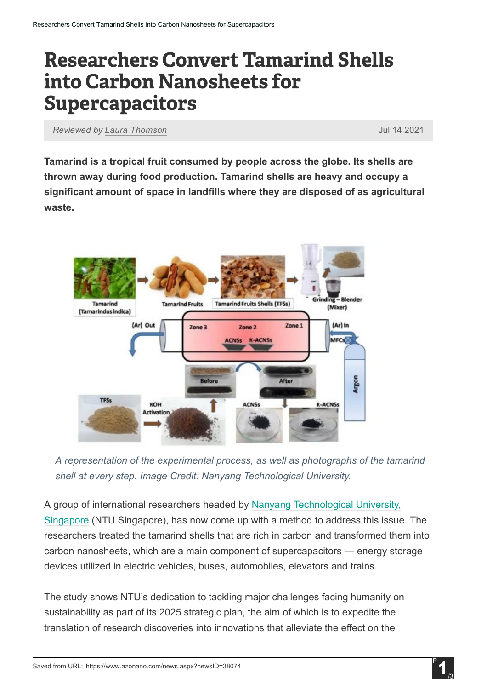## **Researchers Convert Tamarind Shells** into Carbon Nanosheets for Supercapacitors

*Reviewed by Laura [Thomson](https://www.azonano.com/authors/laura-thomson)* Jul 14 2021

Tamarind is a tropical fruit consumed by people across the globe. Its shells are thrown away during food production. Tamarind shells are heavy and occupy a significant amount of space in landfills where they are disposed of as agricultural waste.



*A representation of the experimental process, as well as photographs of the tamarind shell at every step. Image Credit: Nanyang Technological University.*

A group of international researchers headed by Nanyang [Technological](https://www.ntu.edu.sg/) University, [Singapore](https://www.ntu.edu.sg/) (NTU Singapore), has now come up with a method to address this issue. The researchers treated the tamarind shells that are rich in carbon and transformed them into carbon nanosheets, which are a main component of supercapacitors — energy storage devices utilized in electric vehicles, buses, automobiles, elevators and trains.

The study shows NTU's dedication to tackling major challenges facing humanity on sustainability as part of its 2025 strategic plan, the aim of which is to expedite the translation of research discoveries into innovations that alleviate the effect on the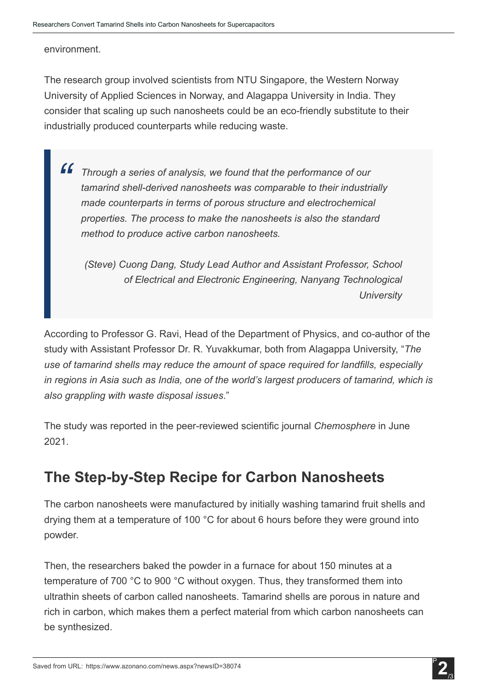## environment.

The research group involved scientists from NTU Singapore, the Western Norway University of Applied Sciences in Norway, and Alagappa University in India. They consider that scaling up such nanosheets could be an eco-friendly substitute to their industrially produced counterparts while reducing waste.

*Through a series of analysis, we found that the performance of our tamarind* shell-derived *nanosheets* was comparable to their *industrially made counterparts in terms of porous structure and electrochemical properties. The process to make the nanosheets is also the standard method to produce active carbon nanosheets. "*

*(Steve) Cuong Dang, Study Lead Author and Assistant Professor, School of Electrical and Electronic Engineering, Nanyang Technological University*

According to Professor G. Ravi, Head of the Department of Physics, and co-author of the study with Assistant Professor Dr. R. Yuvakkumar, both from Alagappa University, "*The use of tamarind shells may reduce the amount of space required for landfills, especially in regions in Asia such as India, one of the world's largest producers of tamarind, which is also grappling with waste disposal issues*."

The study was reported in the peer-reviewed scientific journal *Chemosphere* in June 2021.

## The Step-by-Step Recipe for Carbon Nanosheets

The carbon nanosheets were manufactured by initially washing tamarind fruit shells and drying them at a temperature of 100 °C for about 6 hours before they were ground into powder.

Then, the researchers baked the powder in a furnace for about 150 minutes at a temperature of 700 °C to 900 °C without oxygen. Thus, they transformed them into ultrathin sheets of carbon called nanosheets. Tamarind shells are porous in nature and rich in carbon, which makes them a perfect material from which carbon nanosheets can be synthesized.